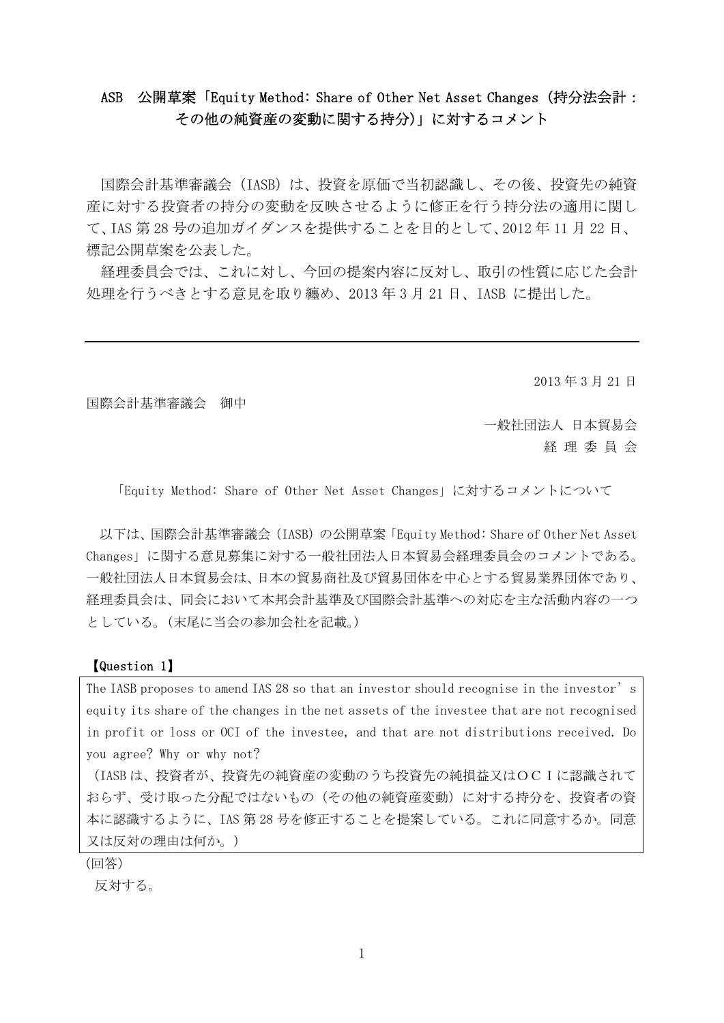# ASB 公開草案「Equity Method: Share of Other Net Asset Changes(持分法会計: その他の純資産の変動に関する持分)」に対するコメント

国際会計基準審議会(IASB)は、投資を原価で当初認識し、その後、投資先の純資 産に対する投資者の持分の変動を反映させるように修正を行う持分法の適用に関し て、IAS 第 28 号の追加ガイダンスを提供することを目的として、2012 年 11 月 22 日、 標記公開草案を公表した。

経理委員会では、これに対し、今回の提案内容に反対し、取引の性質に応じた会計 処理を行うべきとする意見を取り纏め、2013 年 3 月 21 日、IASB に提出した。

2013 年 3 月 21 日

国際会計基準審議会 御中

一般社団法人 日本貿易会 経 理 委 員 会

「Equity Method: Share of Other Net Asset Changes」に対するコメントについて

以下は、国際会計基準審議会(IASB)の公開草案「Equity Method: Share of Other Net Asset Changes」に関する意見募集に対する一般社団法人日本貿易会経理委員会のコメントである。 一般社団法人日本貿易会は、日本の貿易商社及び貿易団体を中心とする貿易業界団体であり、 経理委員会は、同会において本邦会計基準及び国際会計基準への対応を主な活動内容の一つ としている。(末尾に当会の参加会社を記載。)

#### 【Question 1】

The IASB proposes to amend IAS 28 so that an investor should recognise in the investor's equity its share of the changes in the net assets of the investee that are not recognised in profit or loss or OCI of the investee, and that are not distributions received. Do you agree? Why or why not?

(IASB は、投資者が、投資先の純資産の変動のうち投資先の純損益又はOCIに認識されて おらず、受け取った分配ではないもの(その他の純資産変動)に対する持分を、投資者の資 本に認識するように、IAS 第 28 号を修正することを提案している。これに同意するか。同意 又は反対の理由は何か。)

(回答)

反対する。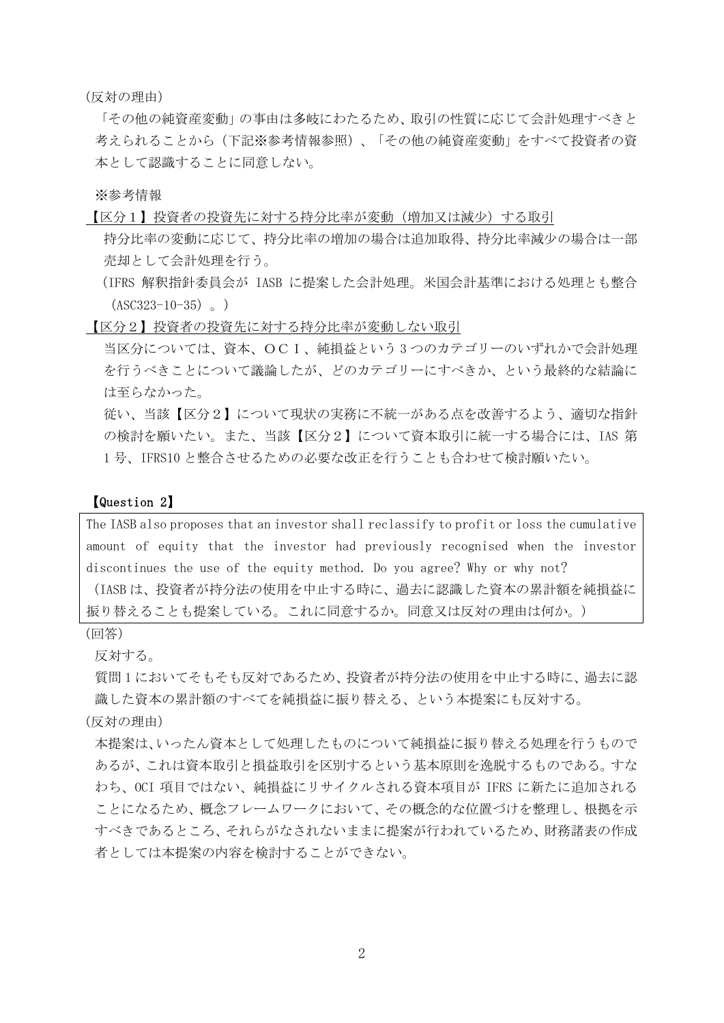(反対の理由)

「その他の純資産変動」の事由は多岐にわたるため、取引の性質に応じて会計処理すべきと 考えられることから(下記※参考情報参照)、「その他の純資産変動」をすべて投資者の資 本として認識することに同意しない。

※参考情報

【区分1】投資者の投資先に対する持分比率が変動(増加又は減少)する取引

- 持分比率の変動に応じて、持分比率の増加の場合は追加取得、持分比率減少の場合は一部 売却として会計処理を行う。
- (IFRS 解釈指針委員会が IASB に提案した会計処理。米国会計基準における処理とも整合  $(ASC323-10-35)$   $\circ$  )

【区分2】投資者の投資先に対する持分比率が変動しない取引

当区分については、資本、OCI、純損益という 3 つのカテゴリーのいずれかで会計処理 を行うべきことについて議論したが、どのカテゴリーにすべきか、という最終的な結論に は至らなかった。

従い、当該【区分2】について現状の実務に不統一がある点を改善するよう、適切な指針 の検討を願いたい。また、当該【区分2】について資本取引に統一する場合には、IAS 第 1 号、IFRS10 と整合させるための必要な改正を行うことも合わせて検討願いたい。

#### 【Question 2】

The IASB also proposes that an investor shall reclassify to profit or loss the cumulative amount of equity that the investor had previously recognised when the investor discontinues the use of the equity method. Do you agree? Why or why not? (IASB は、投資者が持分法の使用を中止する時に、過去に認識した資本の累計額を純損益に 振り替えることも提案している。これに同意するか。同意又は反対の理由は何か。)

(回答)

反対する。

質問 1 においてそもそも反対であるため、投資者が持分法の使用を中止する時に、過去に認 識した資本の累計額のすべてを純損益に振り替える、という本提案にも反対する。

(反対の理由)

本提案は、いったん資本として処理したものについて純損益に振り替える処理を行うもので あるが、これは資本取引と損益取引を区別するという基本原則を逸脱するものである。すな わち、OCI 項目ではない、純損益にリサイクルされる資本項目が IFRS に新たに追加される ことになるため、概念フレームワークにおいて、その概念的な位置づけを整理し、根拠を示 すべきであるところ、それらがなされないままに提案が行われているため、財務諸表の作成 者としては本提案の内容を検討することができない。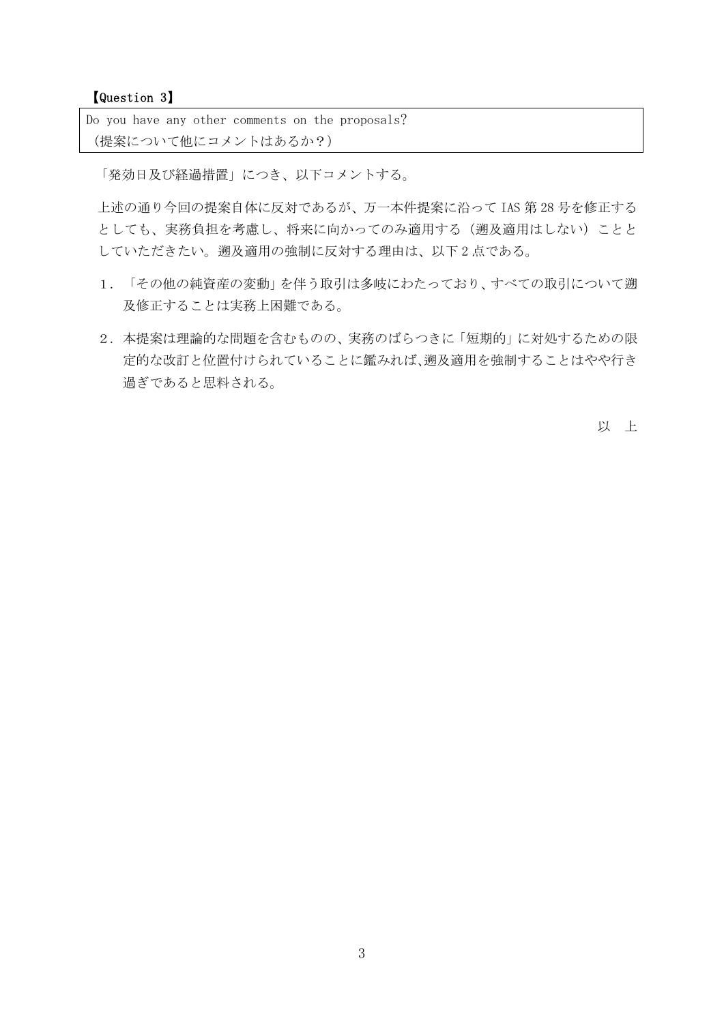【Question 3】

Do you have any other comments on the proposals? (提案について他にコメントはあるか?)

「発効日及び経過措置」につき、以下コメントする。

上述の通り今回の提案自体に反対であるが、万一本件提案に沿って IAS 第 28 号を修正する としても、実務負担を考慮し、将来に向かってのみ適用する(遡及適用はしない)ことと していただきたい。遡及適用の強制に反対する理由は、以下 2 点である。

- 1. 「その他の純資産の変動」を伴う取引は多岐にわたっており、すべての取引について遡 及修正することは実務上困難である。
- 2. 本提案は理論的な問題を含むものの、実務のばらつきに「短期的」に対処するための限 定的な改訂と位置付けられていることに鑑みれば、遡及適用を強制することはやや行き 過ぎであると思料される。

以 上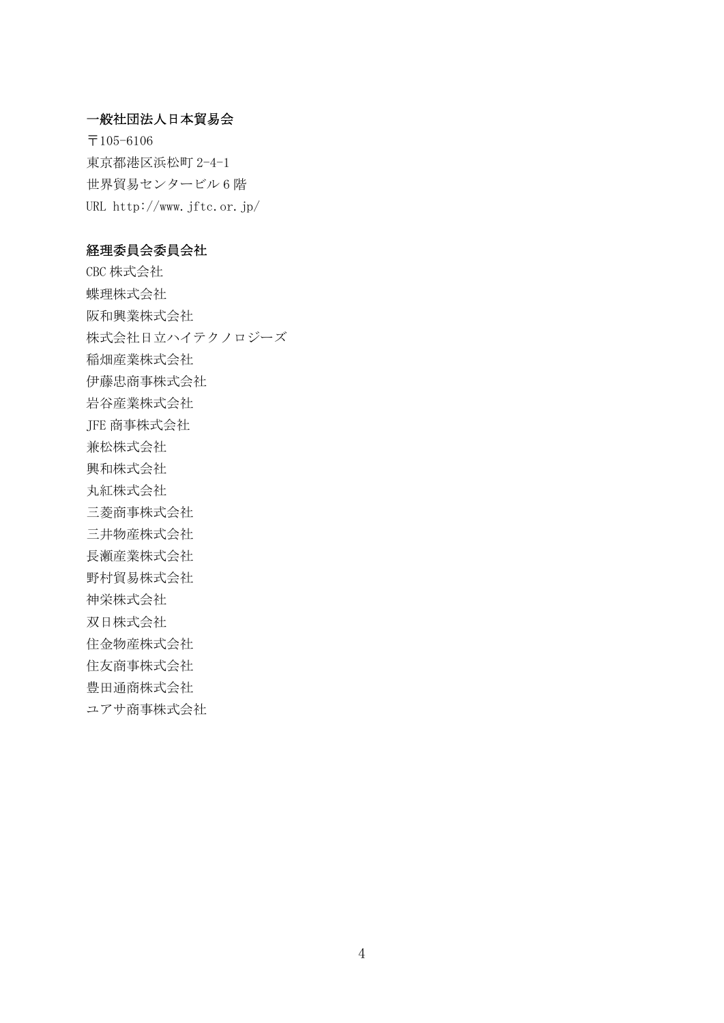#### 一般社団法人日本貿易会

〒105-6106 東京都港区浜松町 2-4-1 世界貿易センタービル 6 階 URL http://www.jftc.or.jp/

#### 経理委員会委員会社

CBC 株式会社 蝶理株式会社 阪和興業株式会社 株式会社日立ハイテクノロジーズ 稲畑産業株式会社 伊藤忠商事株式会社 岩谷産業株式会社 JFE 商事株式会社 兼松株式会社 興和株式会社 丸紅株式会社 三菱商事株式会社 三井物産株式会社 長瀬産業株式会社 野村貿易株式会社 神栄株式会社 双日株式会社 住金物産株式会社 住友商事株式会社 豊田通商株式会社 ユアサ商事株式会社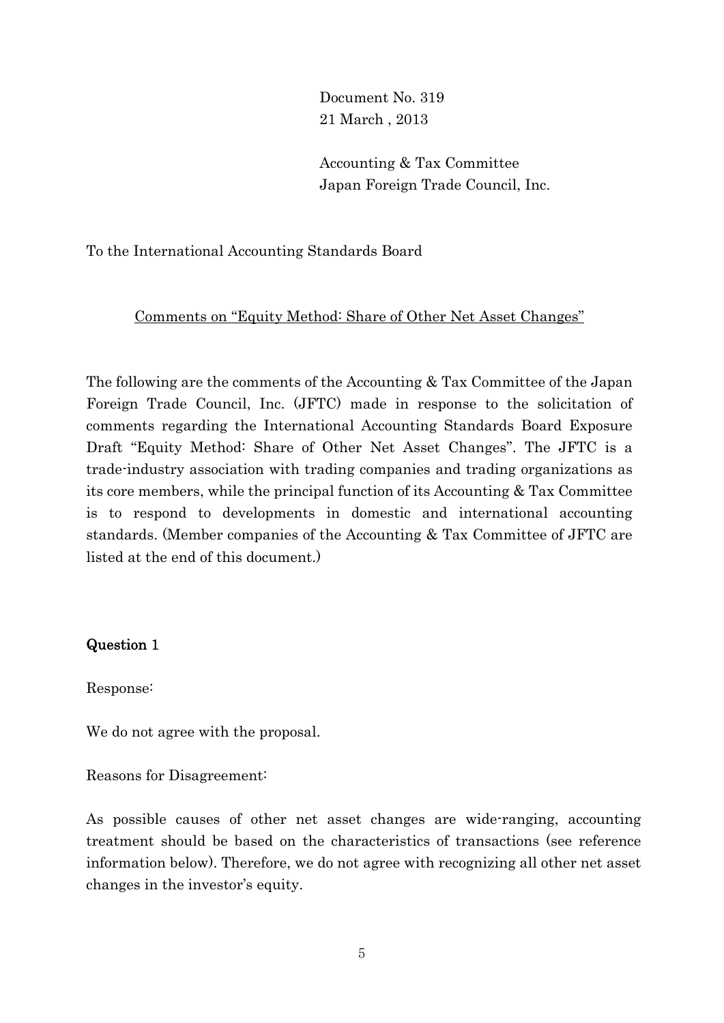Document No. 319 21 March , 2013

Accounting & Tax Committee Japan Foreign Trade Council, Inc.

To the International Accounting Standards Board

## Comments on "Equity Method: Share of Other Net Asset Changes"

The following are the comments of the Accounting & Tax Committee of the Japan Foreign Trade Council, Inc. (JFTC) made in response to the solicitation of comments regarding the International Accounting Standards Board Exposure Draft "Equity Method: Share of Other Net Asset Changes". The JFTC is a trade-industry association with trading companies and trading organizations as its core members, while the principal function of its Accounting & Tax Committee is to respond to developments in domestic and international accounting standards. (Member companies of the Accounting & Tax Committee of JFTC are listed at the end of this document.)

## Question 1

Response:

We do not agree with the proposal.

Reasons for Disagreement:

As possible causes of other net asset changes are wide-ranging, accounting treatment should be based on the characteristics of transactions (see reference information below). Therefore, we do not agree with recognizing all other net asset changes in the investor's equity.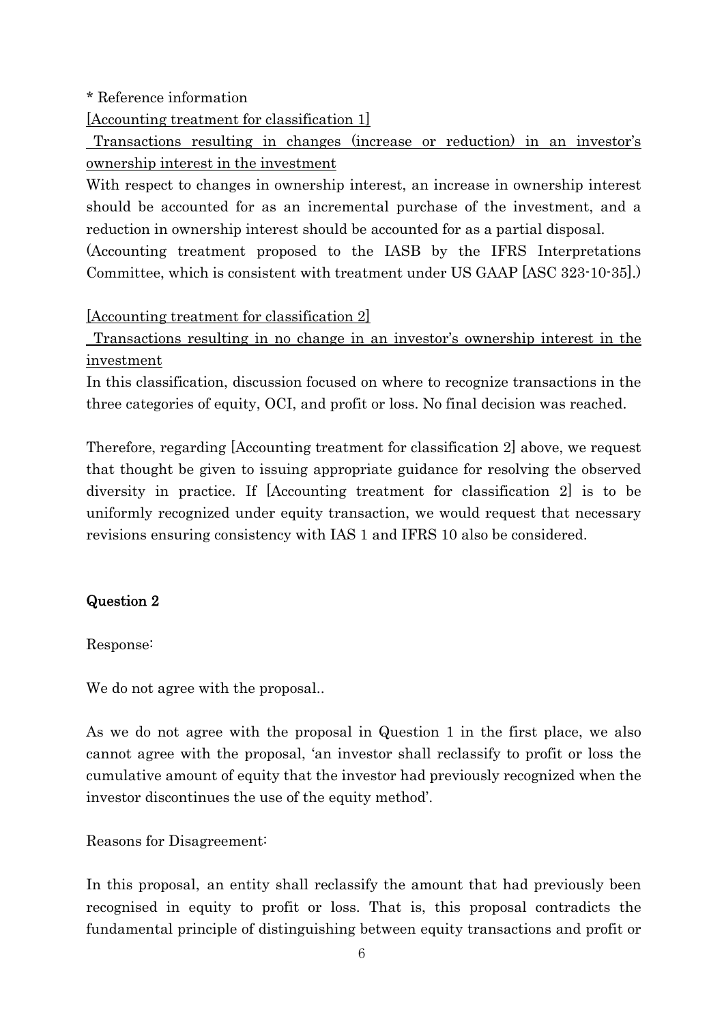## \* Reference information

[Accounting treatment for classification 1]

 Transactions resulting in changes (increase or reduction) in an investor's ownership interest in the investment

With respect to changes in ownership interest, an increase in ownership interest should be accounted for as an incremental purchase of the investment, and a reduction in ownership interest should be accounted for as a partial disposal.

(Accounting treatment proposed to the IASB by the IFRS Interpretations Committee, which is consistent with treatment under US GAAP [ASC 323-10-35].)

[Accounting treatment for classification 2]

 Transactions resulting in no change in an investor's ownership interest in the investment

In this classification, discussion focused on where to recognize transactions in the three categories of equity, OCI, and profit or loss. No final decision was reached.

Therefore, regarding [Accounting treatment for classification 2] above, we request that thought be given to issuing appropriate guidance for resolving the observed diversity in practice. If [Accounting treatment for classification 2] is to be uniformly recognized under equity transaction, we would request that necessary revisions ensuring consistency with IAS 1 and IFRS 10 also be considered.

# Question 2

Response:

We do not agree with the proposal...

As we do not agree with the proposal in Question 1 in the first place, we also cannot agree with the proposal, 'an investor shall reclassify to profit or loss the cumulative amount of equity that the investor had previously recognized when the investor discontinues the use of the equity method'.

Reasons for Disagreement:

In this proposal, an entity shall reclassify the amount that had previously been recognised in equity to profit or loss. That is, this proposal contradicts the fundamental principle of distinguishing between equity transactions and profit or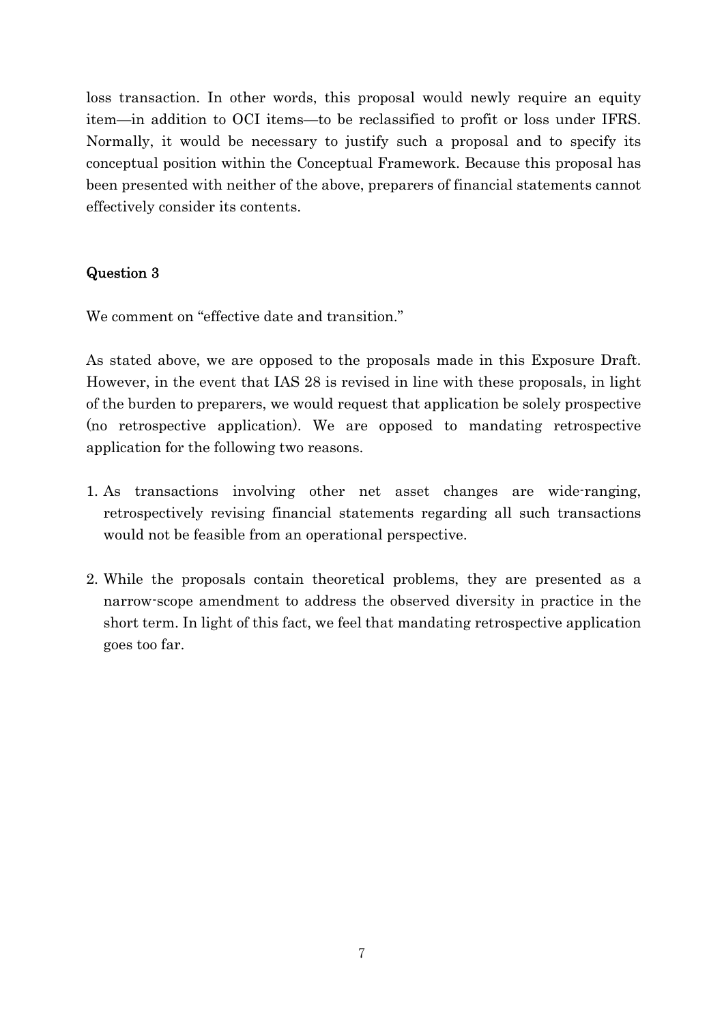loss transaction. In other words, this proposal would newly require an equity item—in addition to OCI items—to be reclassified to profit or loss under IFRS. Normally, it would be necessary to justify such a proposal and to specify its conceptual position within the Conceptual Framework. Because this proposal has been presented with neither of the above, preparers of financial statements cannot effectively consider its contents.

# Question 3

We comment on "effective date and transition."

As stated above, we are opposed to the proposals made in this Exposure Draft. However, in the event that IAS 28 is revised in line with these proposals, in light of the burden to preparers, we would request that application be solely prospective (no retrospective application). We are opposed to mandating retrospective application for the following two reasons.

- 1. As transactions involving other net asset changes are wide-ranging, retrospectively revising financial statements regarding all such transactions would not be feasible from an operational perspective.
- 2. While the proposals contain theoretical problems, they are presented as a narrow-scope amendment to address the observed diversity in practice in the short term. In light of this fact, we feel that mandating retrospective application goes too far.